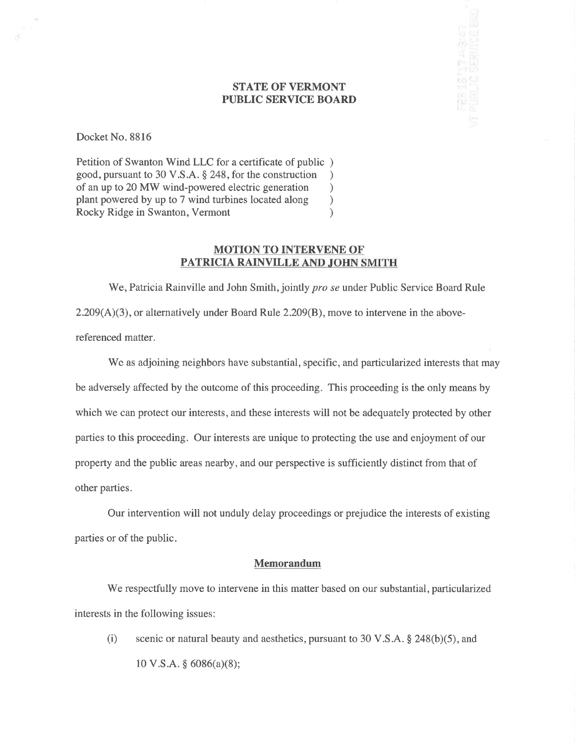### STATE OF VERMONT PUBLIC SERVICE BOARD

**IS 117 A SKAT**<br>Til serinde ra

Docket No. 8816

Petition of Swanton Wind LLC for a certificate of public ) good, pursuant to 30 V.S.A. \$ 248, for the construction ) of an up to 20 MW wind-powered electric generation <br>plant powered by up to 7 wind turbines located along ) plant powered by up to 7 wind turbines located along ) Rocky Ridge in Swanton, Vermont (1998)

### MOTION TO INTERVENE OF PATRICIA RAINVILLE AND JOHN SMITH

We, Patricia Rainville and John Smith, jointly *pro se* under Public Service Board Rule 2.209(A)(3), or alternatively under Board Rule 2.209(B), move to intervene in the abovereferenced matter.

Wc as adjoining neighbors have substantial, specific, and particularized interests that may be adversely affected by the outcome of this proceeding. This proceeding is the only means by which we can protect our interests, and these interests will not be adequately protected by other parties to this proceeding. Our interests are unique to protecting the use and enjoyment of our property and the public areas nearby, and our perspective is sufficiently distinct from that of other parties.

Our intervention will not unduly delay proceedings or prejudice the interests of existing parties or of the public.

### Memorandum

We respectfully move to intervene in this matter based on our substantial, particularized interests in the following issues:

(i) scenic or natural beauty and aesthetics, pursuant to 30 V.S.A.  $\S$  248(b)(5), and 10 V.S.A.  $\S$  6086(a)(8);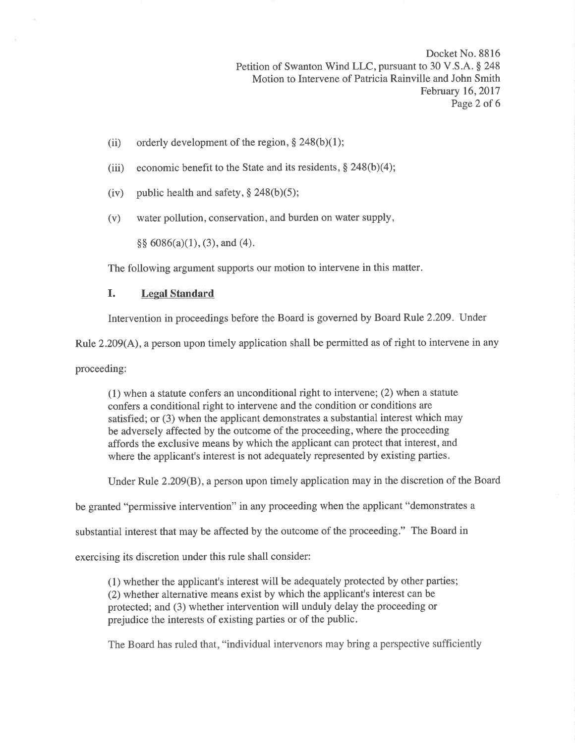Docket No. 8816 Petition of Swanton Wind LLC, pursuant to 30 V.S.A. \$ 248 Motion to Intervene of Patricia Rainville and John Smith February 16, 2017 Page 2 of 6

- (ii) orderly development of the region,  $\S 248(b)(1)$ ;
- (iii) economic benefit to the State and its residents,  $\S$  248(b)(4);
- (iv) public health and safety,  $\S$  248(b)(5);
- (v) water pollution, conservation, and burden on water supply,

 $\S\S 6086(a)(1), (3),$  and (4).

The following argument supports our motion to intervene in this matter.

## I. Legal Standard

Intervention in proceedings before the Board is governed by Board Rule 2.209. Under

Rule 2.209(A), a person upon timely application shall be permitted as of right to intervene in any

proceeding:

(1) when a statute confers an unconditional right to intervene; (2) when a statute confers a conditional right to intervene and the condition or conditions are satisfied; or (3) when the applicant demonstrates a substantial interest which may be adversely affected by the outcome of the proceeding, where the proceeding affords the exclusive means by which the applicant can protect that interest, and where the applicant's interest is not adequately represented by existing parties.

Under Rule 2.209(B), a person upon timely application may in the discretion of the Board

be granted "permissive intervention" in any proceeding when the applicant "demonstrates a

substantial interest that may be affected by the outcome of the proceeding." The Board in

exercising its discretion under this rule shall consider:

(1) whether the applicant's interest will be adequately protected by other parties; (2) whether alternative means exist by which the applicant's interest can be protected; and (3) whether intervention will unduly delay the proceeding or prejudice the interests of existing parties or of the public.

The Board has ruled that, "individual intervenors may bring a perspective sufficiently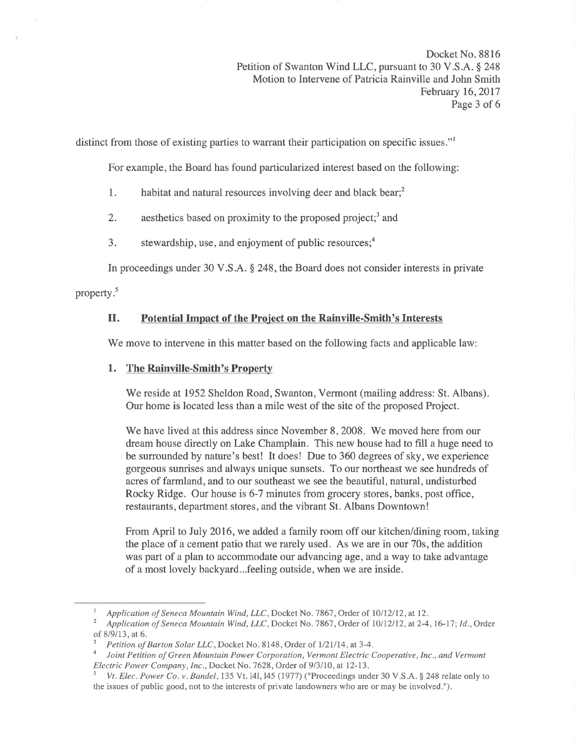Docket No. 8816 Petition of Swanton Wind LLC, pursuant to 30 V.S.A. \$ 248 Motion to Intervene of Patricia Rainville and John Smith February 16,2017 Page 3 of 6

distinct from those of existing parties to warrant their participation on specific issues."

For example, the Board has found particularized interest based on the following:

- 1. habitat and natural resources involving deer and black bear;<sup>2</sup>
- 2. aesthetics based on proximity to the proposed project:<sup>3</sup> and
- 3. stewardship, use, and enjoyment of public resources; $<sup>4</sup>$ </sup>

In proceedings under 30 V.S.A. \$ 248, the Board does not consider interests in private

property.<sup>5</sup>

# II. Potential Impact of the Project on the Rainville-Smith's Interests

'We move to intervene in this matter based on the following facts and applicable law:

# 1. The Rainville-Smith's Property

We reside at 1952 Sheldon Road, Swanton, Vermont (mailing address: St. Albans). Our home is located less than a mile west of the site of the proposed Project.

We have lived at this address since November 8, 2008. We moved here from our dream house directly on Lake Champlain. This new house had to fill a huge need to be surrounded by nature's best! It does! Due to 360 degrees of sky, we experience gorgeous sunrises and always unique sunsets. To our northeast we see hundreds of acres of farmland, and to our southeast we see the beautiful, natural, undisturbed Rocky Ridge. Our house is 6-7 minutes from grocery stores, banks, post office, restaurants, department stores, and the vibrant St. Albans Downtown!

From April to July 2016, we added a family room off our kitchen/dining room, taking the place of a cement patio that we rarely used. As we are in our 70s, the addition was part of a plan to accommodate our advancing age, and a way to take advantage of a most lovely backyard...feeling outside, when we are inside.

Application of Seneca Mountain Wind, LLC, Docket No. 7867, Order of 10/12/12, at 12.<br>Application of Seneca Mountain Wind, LLC, Docket No. 7867, Order of 10/12/12, at 2-4, 16-17; Id., Order

of 8/9/13, at 6.<br><sup>3</sup> Petition of Barton Solar LLC, Docket No. 8148, Order of 1/21/14, at 3-4.<br><sup>4</sup> Joint Petition of Green Mountain Power Corporation, Vermont Electric Cooperative, Inc., and Vermont<br>Electric Power Company,

Vt. Elec. Power Co.v. Bandel, 135 Vt. 141, 145 (1977) ("Proceedings under 30 V.S.A.  $\S$  248 relate only to the issues of public good, not to the interests of private landowners who are or may be involved.").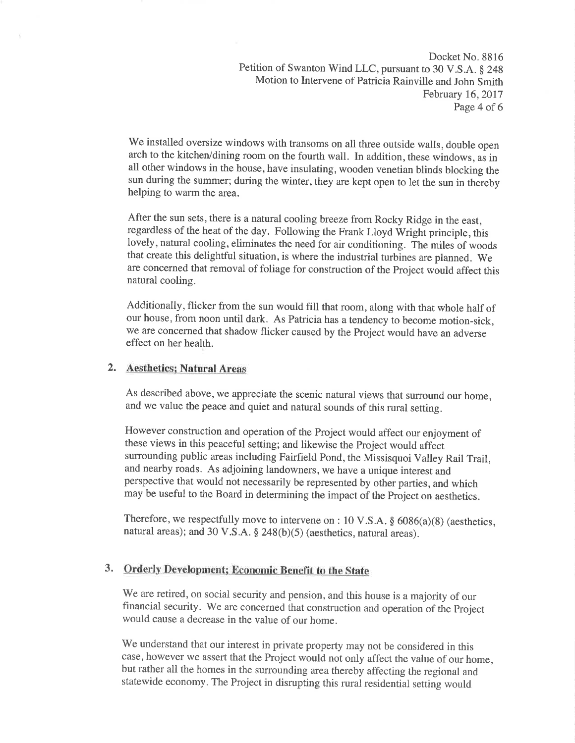Docket No. 8816 Petition of Swanton Wind LLC, pursuant to 30 V.S.A. \$ 24g Motion to Intervene of Patricia Rainville and John Smith February 16,2017 Page 4 of 6

We installed oversize windows with transoms on all three outside walls, double open arch to the kitchen/dining room on the fourth wall. In addition, these windows, as in all other windows in the house, have insulating, wooden venetian blinds blocking the sun during the summer; during the winter, they are kept open to let the sun in thereby helping to warm the area.

After the sun sets, there is a natural cooling breeze from Rocky Ridge in the east, regardless of the heat of the day. Following the Frank Lloyd Wright principle, this lovely, natural cooling, eliminates the need for air conditioning. The miles of woods that create this delightful situation, is where the industrial turbines are planned. We are concerned that removal of foliage for construction of the Project would affect this natural cooling.

Additionally, flicker from the sun would fill that room, along with that whole half of our house, from noon until dark. As Patricia has a tendency to become motion-sick, we are concerned that shadow flicker caused by the Project would have an adverse effect on her health.

### 2. Aesthetics¡ Natural Areas

As described above, we appreciate the scenic natural views that surround our home, and we value the peace and quiet and natural sounds of this rural setting.

However construction and operation of the Project would affect our enjoyment of these views in this peaceful setting; and likewise the project would affect surrounding public areas including Fairfield Pond, the Missisquoi Valley Rail Trail, and nearby roads. As adjoining landowners, we have a unique interest and perspective that would not necessarily be represented by other parties, and which may be useful to the Board in determining the impact of the Project on aesthetics.

Therefore, we respectfully move to intervene on : 10 V.S.A.  $\S$  6086(a)(8) (aesthetics, natural areas); and 30 V.S.A.  $\S$  248(b)(5) (aesthetics, natural areas).

## 3. Orderly Development; Economic Benefit to the State

we are retired, on social security and pension, and this house is a majority of our financial security. We are concerned that construction and operation of the project would cause a decrease in the value of our home.

We understand that our interest in private property may not be considered in this case, however we assert that the Project would not only affect the value of our home, but rather all the homes in the surrounding area thereby affecting the regional and statewide economy. The Project in disrupting this rural residential setting would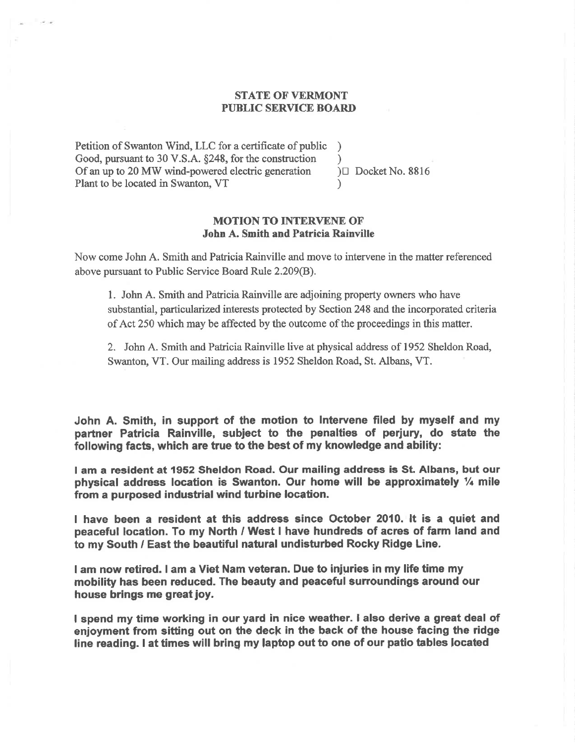## **STATE OF VERMONT** PUBLIC SERVICE BOARD

Petition of Swanton Wind, LLC for a certificate of public Good, pursuant to 30 V.S.A. \$248, for the construction Of an up to 20 MW wind-powered electric generation Plant to be located in Swanton, VT

)  $\cup$  Docket No. 8816

 $\lambda$ 

)

## MOTION TO INTERVENE OF' John A. Smith and Patricia Rainville

Now come John A. Smith and Paticia Rainville and move to intervene in the matter referenced above pursuant to Public Service Board Rule 2.209(8).

1. John A. Smith and Patricia Rainville are adjoining property owners who have substantial, particularized interests protected by Section 248 and the incorporated criteria of Act 250 which may be affected by the outcome of the proceedings in this matter.

2. John A. Smith and Pafricia Rainville live at physical address of 1952 Sheldon Road, Swanton, VT. Our mailing address is 1952 Sheldon Road, St. Albans, VT.

John A. Smith, in support of the motion to Intervene filed by myself and my partner Patricia Rainville, subiect to the penalties of perjury, do state the following facts, which are true to the best of my knowledge and ability:

I am a resident at 1952 Sheldon Road. Our mailing address is St. Albans, but our physical address location is Swanton. Our home will be approximately  $\frac{1}{4}$  mile from a purposed industrial wind turbine location.

I have been a resident at this address since October 2010. lt is a quiet and peaceful location. To my North / West I have hundreds of acres of farm land and to my South / East the beautiful natural undisturbed Rocky Ridge Line.

lam now rctired. I am a Viet Nam veteran. Due to injuries in my life time my mobility has been reduced. The beauty and peacêful surroundings around our house brings me great joy.

I spend my time working in our yard in nice weather. I also derive a great deal of enjoyment from sitting out on the deck in the back of the house facing the ridge line reading. I at times will bring my laptop out to one of our patio tables located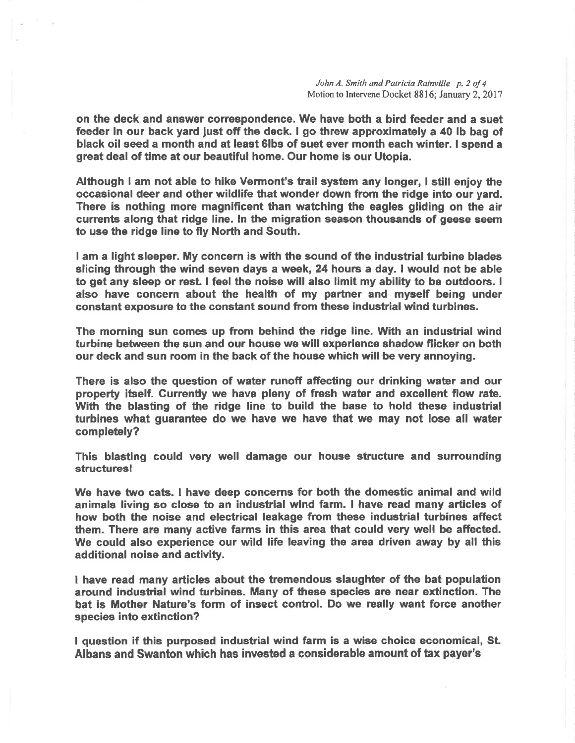John A. Smith and Patricia Rainville p. 2 of 4 Motion to Intervene Docket 8816; January 2, 2017

on the deck and enswer correspondence. We have both a bird feeder and a suet feeder in our back yard just off the deck. I go threw approximately a 40 lb bag of black oil seed a month and at least 6lbs of suet ever month each winter. I spend a great deal of time at our beautiful home. Our home is our Utopia.

Although I am not able to hike Vermont's trail system any longer, I still enjoy the occasional deer and other wildlife that wonder down from the ridge into our yard. There is nothing more magnificent than watching the eagles gliding on the air currents along that ridge line. ln the migration season thoueande of geese seem to use the ridge line to fly North and South.

I am a light sleeper. My concern is with the sound of the industrial turbine blades slicing through the wind seven days a week, 24 hours a day. I would not be able to get any sleep or resL I feel the noise will also limit my ability to be outdoors. <sup>I</sup> also have concern about the health of my partner and myself being under constant exposure to the constant sound from these industrial wind turbines.

The morning sun comes up from behind the ridge line. With an industrial wind turbine between the sun and our house we will experience shadow flicker on both our deck and sun room in the back of the house which will be very annoying.

There is also the question of water runoff affecting our drinking water and our property itself. Gurrenüy we have pleny of fresh water and excellent flow rate. With the blasting of the ridge line to build the base to hold these industrial turbines what guarantee do we have we have that we may not lose all water completely?

This blasting could very well damage our house structure and surrounding structuresl

We have two cats. I have deep concerns for both the domestic animal and wild animals living so close to an induetrial wind farm. I have read many articles of how both the noise and electrical leakage from these industrial turbines affect them. There are many active farms in this area that could very well be affected. We could also experience our wild life leaving the area driven away by all this additional noise and activity.

I have read many articles about the tremendous slaughter of the bat population around industrial wind turbines. Many of these species are near extinction. The bat is Mother Nature's form of insect control. Do we really want force another species into extinction?

I question if this purposed industrial wind farm is a wise choice economical, St Albans and Swanton which has invested a considerable amount of tax payer's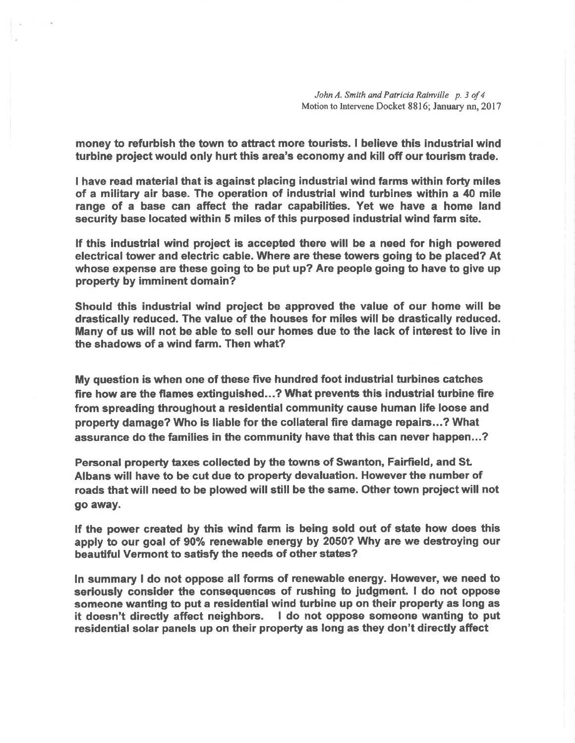John A. Smith and Patricia Rainville p. 3 of 4 Motion to Intervene Docket 8816; January nn, 2017

money to refurbish the town to attract more tourists. I believe this industrial wind turbine project would only hurt this area's economy and kill off our tourism trade.

I have read material that is against placing industrial wind farms within forty miles of a military air base. The operation of industrial wind turbines within a 40 mile range of a base can affect the radar capabilities. Yet we have a home land security base located within 5 miles of this purposed industrial wind farm site.

If this industrial wind project is accepted there will be a need for high powered electrical tower and electric cable. Where are these towers going to be placed? At whose expense are these going to be put up? Are people going to have to give up property by imminent domain?

Should this industrial wind project be approved the value of our home will be drastically reduced. The value of the houses for miles will be drastically reduced. Many of us will not be able to sell our homes due to the lack of interest to live in the shadows of a wind farm. Then what?

My quesfion is when one of these five hundred foot industrial turbines catches fire how are the flames extinguished...? What prevents this industrial turbine fire from spreading throughout a residential community cause human life loose and property damage? Who is liable for the collateral fire damage repairs...? What assurance do the families in the community have that this can never happen...?

Pensonal property taxes collected by the towns of Swanton, Fairfield, and St Albans will have to be cut due to property devaluation. However the number of roads that will need to be plowed will still be the same. Other town project will not go away.

lf the power created by this wind farm is being sold out of state how does this apply to our goal of 90% renewable energy by 2050? Why are we destroying our beautiful Vermont to satisfy the needs of other states?

ln summary I do not oppose all forms of renewable energy. However, we need to seriously consider the consequences of rushing to judgment. I do not oppose someone wanting to put a residential wind turbine up on their property as long as it doesn't directly affect neighbors. I do not oppose someone wanting to put residential solar panels up on their property as long as they don't direcüy affect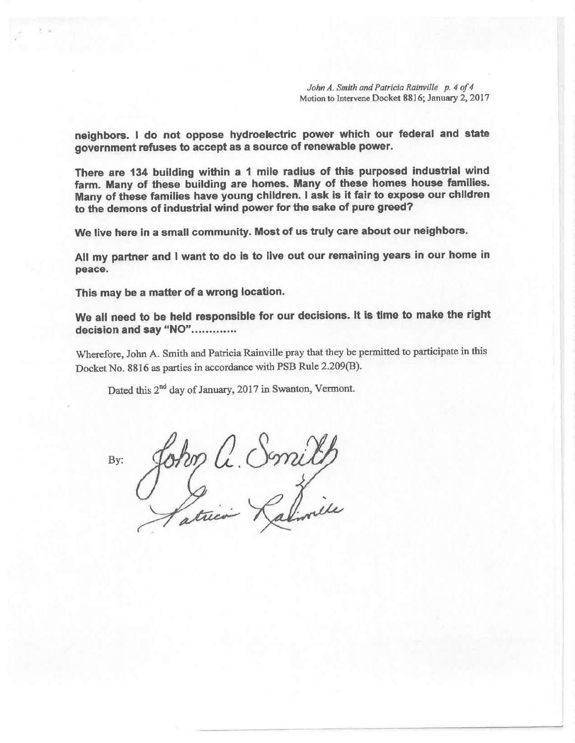John A. Smith and Patricia Rainville p. 4 of 4 Motion to Intervene Docket 8816; January 2,2017

neighbors. I do not oppose hydroelectric power which our federal and state government refuses to accept as a source of renewable power.

There are 134 building within a 1 mile radius of this purposed industrial wind farm. Many of these building are homes. Many of these homes house families. Many of these families have young children. I ask is it fair to expose our children to the demons of industrial wind power for the sake of pure greed?

We live here in a small community. Most of us truly care about our neighbors.

All my partner and I want to do is to live out our remaining years in our home in peace.

This may be a matter of a wrong location.

We all need to be held responsible for our decisions. It is time to make the right decision and say "NO".............

Wherefore, John A. Smith and Patricia Rainville pray that they be permitted to participate in this Docket No. 8816 as parties in accordance with PSB Rule 2.209(B).

Dated this  $2^{nd}$  day of January, 2017 in Swanton, Vermont.

By: John C. Smilh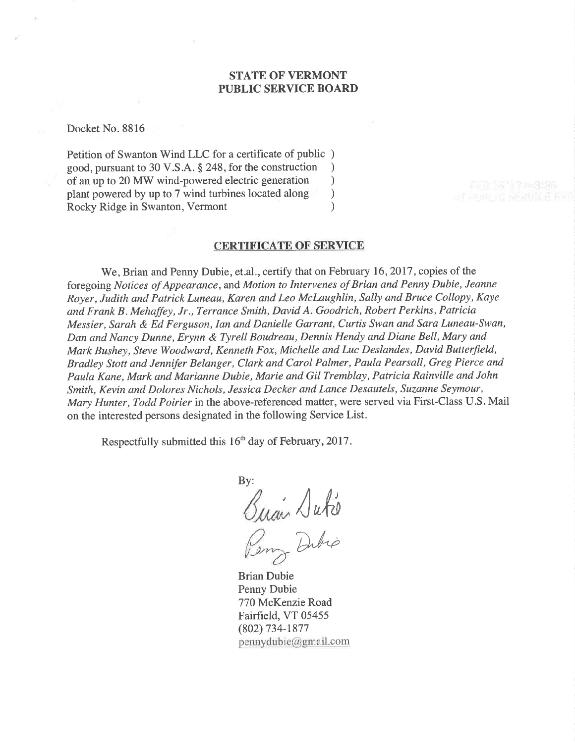## STATE OF VERMONT PUBLIC SERVICE BOARD

Docket No. 8816

Petition of Swanton Wind LLC for a certificate of public ) good, pursuant to 30 V.S.A. § 248, for the construction <br>of an up to 20 MW wind-powered electric generation  $\qquad$ of an up to 20 MW wind-powered electric generation<br>plant powered by up to 7 wind turbines located along  $\qquad)$ plant powered by up to 7 wind turbines located along (a) Rocky Ridge in Swanton, Vermont (b) Rocky Ridge in Swanton, Vermont

#### CERTIFICATE OF SERVICE

We, Brian and Penny Dubie, et.al., certify that on February 16,2017 , copies of the foregoing Notices of Appearance, and Motion to Intervenes of Brian and Penny Dubie, Jeanne Royer, Judith and Patrick Luneau, Karen and Leo Mclaughlin, Sally and Bruce Collopy, Kaye and Frank B. Mehaffey, Jr., Terrance Smith, David A. Goodrich, Robert Perkins, Patricia Messier, Sarah & Ed Ferguson, Ian and Danielle Garrant, Curtis Swan and Sara Luneau-Swan, Dan and Nancy Dunne, Erynn & Tyrell Boudreau, Dennis Hendy and Diane Bell, Mary and Mark Bushey, Steve Woodward, Kenneth Fox, Michelle and Luc Deslandes, David Butterfield, Bradley Stott and Jennifer Belanger, Clark and Carol Palmer, Paula Pearsall, Greg Pierce and Paula Kane, Mark and Marianne Dubie, Marie and Gil Tremblay, Patricia Rainville and John Smith, Kevin and Dolores Nichols, Jessica Decker and Lance Desøutels, Suzanne Seymour, Mary Hunter, Todd Poirier in the above-referenced matter, were served via First-Class U.S. Mail on the interested persons designated in the following Service List.

Respectfully submitted this 16'h day of February,2017.

By:  $\sqrt{abc}$ Dubio

Brian Dubie Penny Dubie 770 McKenzie Road Fairfield, VT 05455 (802) 734-1877

 $p$ ennydubie@gmail.com